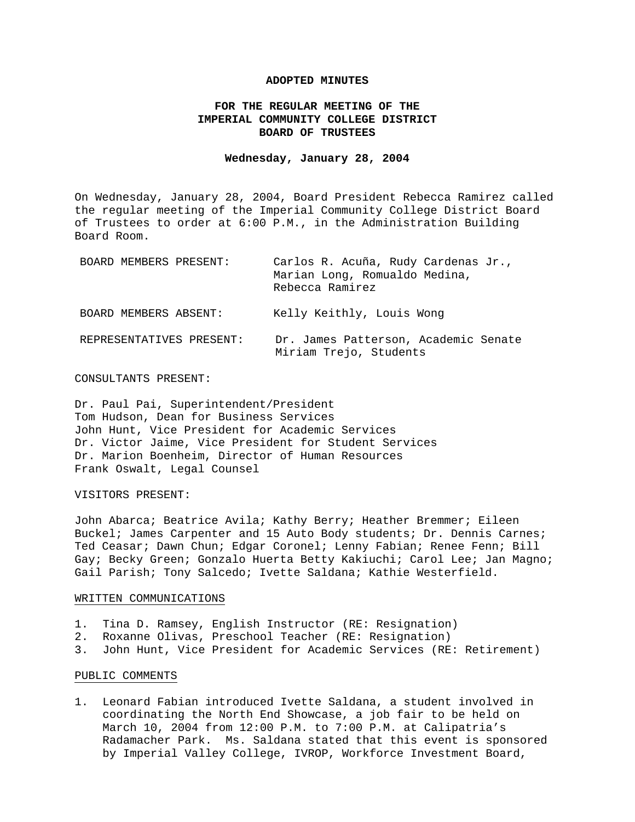## **ADOPTED MINUTES**

# **FOR THE REGULAR MEETING OF THE IMPERIAL COMMUNITY COLLEGE DISTRICT BOARD OF TRUSTEES**

### **Wednesday, January 28, 2004**

On Wednesday, January 28, 2004, Board President Rebecca Ramirez called the regular meeting of the Imperial Community College District Board of Trustees to order at 6:00 P.M., in the Administration Building Board Room.

| BOARD MEMBERS PRESENT:   | Carlos R. Acuña, Rudy Cardenas Jr.,<br>Marian Long, Romualdo Medina,<br>Rebecca Ramirez |
|--------------------------|-----------------------------------------------------------------------------------------|
| BOARD MEMBERS ABSENT:    | Kelly Keithly, Louis Wong                                                               |
| REPRESENTATIVES PRESENT: | Dr. James Patterson, Academic Senate<br>Miriam Trejo, Students                          |

#### CONSULTANTS PRESENT:

Dr. Paul Pai, Superintendent/President Tom Hudson, Dean for Business Services John Hunt, Vice President for Academic Services Dr. Victor Jaime, Vice President for Student Services Dr. Marion Boenheim, Director of Human Resources Frank Oswalt, Legal Counsel

### VISITORS PRESENT:

John Abarca; Beatrice Avila; Kathy Berry; Heather Bremmer; Eileen Buckel; James Carpenter and 15 Auto Body students; Dr. Dennis Carnes; Ted Ceasar; Dawn Chun; Edgar Coronel; Lenny Fabian; Renee Fenn; Bill Gay; Becky Green; Gonzalo Huerta Betty Kakiuchi; Carol Lee; Jan Magno; Gail Parish; Tony Salcedo; Ivette Saldana; Kathie Westerfield.

# WRITTEN COMMUNICATIONS

- 1. Tina D. Ramsey, English Instructor (RE: Resignation)
- 2. Roxanne Olivas, Preschool Teacher (RE: Resignation)
- 3. John Hunt, Vice President for Academic Services (RE: Retirement)

## PUBLIC COMMENTS

1. Leonard Fabian introduced Ivette Saldana, a student involved in coordinating the North End Showcase, a job fair to be held on March 10, 2004 from 12:00 P.M. to 7:00 P.M. at Calipatria's Radamacher Park. Ms. Saldana stated that this event is sponsored by Imperial Valley College, IVROP, Workforce Investment Board,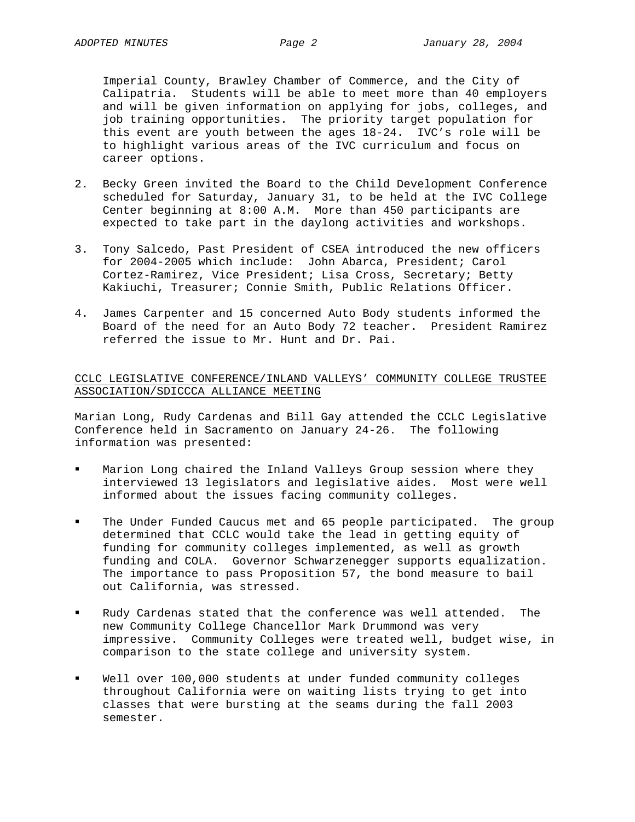Imperial County, Brawley Chamber of Commerce, and the City of Calipatria. Students will be able to meet more than 40 employers and will be given information on applying for jobs, colleges, and job training opportunities. The priority target population for this event are youth between the ages 18-24. IVC's role will be to highlight various areas of the IVC curriculum and focus on career options.

- 2. Becky Green invited the Board to the Child Development Conference scheduled for Saturday, January 31, to be held at the IVC College Center beginning at 8:00 A.M. More than 450 participants are expected to take part in the daylong activities and workshops.
- 3. Tony Salcedo, Past President of CSEA introduced the new officers for 2004-2005 which include: John Abarca, President; Carol Cortez-Ramirez, Vice President; Lisa Cross, Secretary; Betty Kakiuchi, Treasurer; Connie Smith, Public Relations Officer.
- 4. James Carpenter and 15 concerned Auto Body students informed the Board of the need for an Auto Body 72 teacher. President Ramirez referred the issue to Mr. Hunt and Dr. Pai.

# CCLC LEGISLATIVE CONFERENCE/INLAND VALLEYS' COMMUNITY COLLEGE TRUSTEE ASSOCIATION/SDICCCA ALLIANCE MEETING

Marian Long, Rudy Cardenas and Bill Gay attended the CCLC Legislative Conference held in Sacramento on January 24-26. The following information was presented:

- Marion Long chaired the Inland Valleys Group session where they interviewed 13 legislators and legislative aides. Most were well informed about the issues facing community colleges.
- The Under Funded Caucus met and 65 people participated. The group determined that CCLC would take the lead in getting equity of funding for community colleges implemented, as well as growth funding and COLA. Governor Schwarzenegger supports equalization. The importance to pass Proposition 57, the bond measure to bail out California, was stressed.
- Rudy Cardenas stated that the conference was well attended. The new Community College Chancellor Mark Drummond was very impressive. Community Colleges were treated well, budget wise, in comparison to the state college and university system.
- Well over 100,000 students at under funded community colleges throughout California were on waiting lists trying to get into classes that were bursting at the seams during the fall 2003 semester.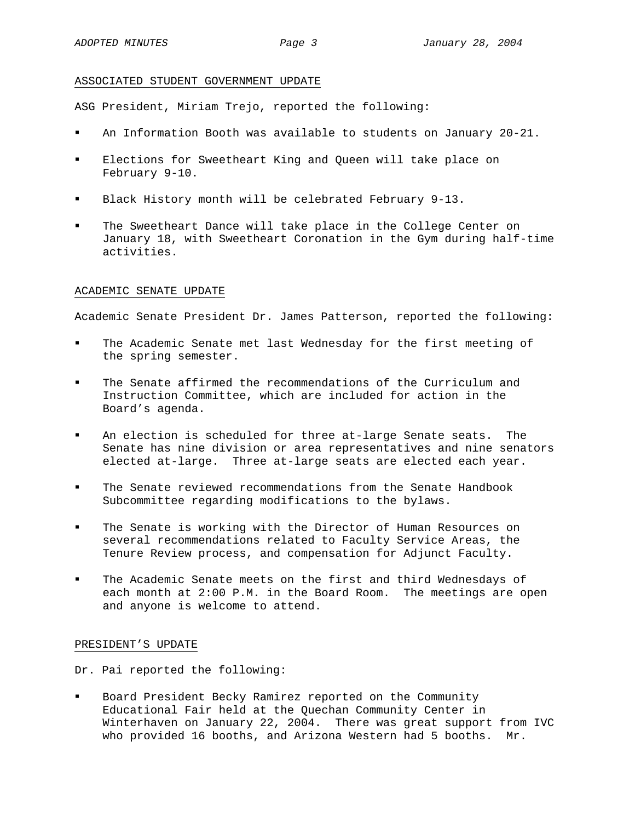## ASSOCIATED STUDENT GOVERNMENT UPDATE

ASG President, Miriam Trejo, reported the following:

- An Information Booth was available to students on January 20-21.
- Elections for Sweetheart King and Queen will take place on February 9-10.
- Black History month will be celebrated February 9-13.
- The Sweetheart Dance will take place in the College Center on January 18, with Sweetheart Coronation in the Gym during half-time activities.

# ACADEMIC SENATE UPDATE

Academic Senate President Dr. James Patterson, reported the following:

- The Academic Senate met last Wednesday for the first meeting of the spring semester.
- The Senate affirmed the recommendations of the Curriculum and Instruction Committee, which are included for action in the Board's agenda.
- An election is scheduled for three at-large Senate seats. The Senate has nine division or area representatives and nine senators elected at-large. Three at-large seats are elected each year.
- The Senate reviewed recommendations from the Senate Handbook Subcommittee regarding modifications to the bylaws.
- The Senate is working with the Director of Human Resources on several recommendations related to Faculty Service Areas, the Tenure Review process, and compensation for Adjunct Faculty.
- The Academic Senate meets on the first and third Wednesdays of each month at 2:00 P.M. in the Board Room. The meetings are open and anyone is welcome to attend.

# PRESIDENT'S UPDATE

Dr. Pai reported the following:

 Board President Becky Ramirez reported on the Community Educational Fair held at the Quechan Community Center in Winterhaven on January 22, 2004. There was great support from IVC who provided 16 booths, and Arizona Western had 5 booths. Mr.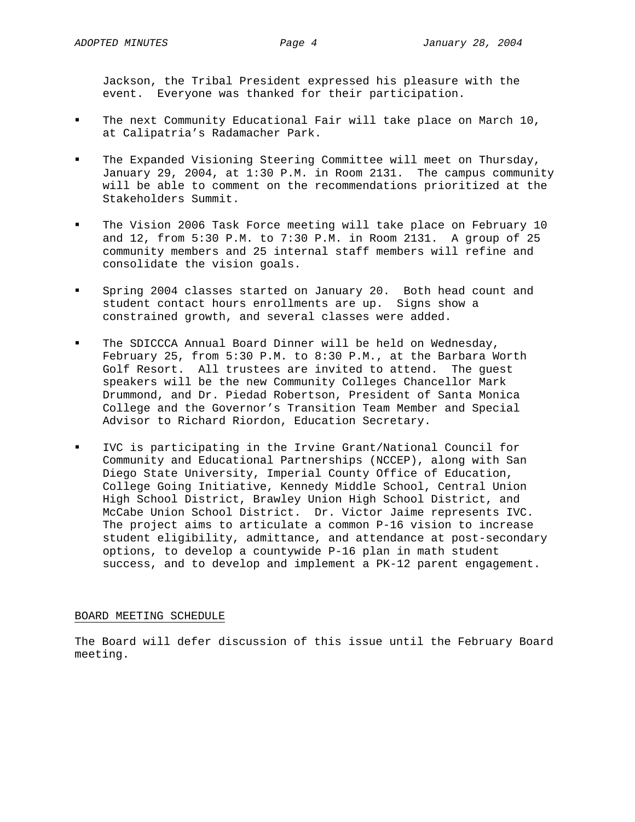Jackson, the Tribal President expressed his pleasure with the event. Everyone was thanked for their participation.

- The next Community Educational Fair will take place on March 10, at Calipatria's Radamacher Park.
- The Expanded Visioning Steering Committee will meet on Thursday, January 29, 2004, at 1:30 P.M. in Room 2131. The campus community will be able to comment on the recommendations prioritized at the Stakeholders Summit.
- The Vision 2006 Task Force meeting will take place on February 10 and 12, from 5:30 P.M. to 7:30 P.M. in Room 2131. A group of 25 community members and 25 internal staff members will refine and consolidate the vision goals.
- Spring 2004 classes started on January 20. Both head count and student contact hours enrollments are up. Signs show a constrained growth, and several classes were added.
- The SDICCCA Annual Board Dinner will be held on Wednesday, February 25, from 5:30 P.M. to 8:30 P.M., at the Barbara Worth Golf Resort. All trustees are invited to attend. The guest speakers will be the new Community Colleges Chancellor Mark Drummond, and Dr. Piedad Robertson, President of Santa Monica College and the Governor's Transition Team Member and Special Advisor to Richard Riordon, Education Secretary.
- IVC is participating in the Irvine Grant/National Council for Community and Educational Partnerships (NCCEP), along with San Diego State University, Imperial County Office of Education, College Going Initiative, Kennedy Middle School, Central Union High School District, Brawley Union High School District, and McCabe Union School District. Dr. Victor Jaime represents IVC. The project aims to articulate a common P-16 vision to increase student eligibility, admittance, and attendance at post-secondary options, to develop a countywide P-16 plan in math student success, and to develop and implement a PK-12 parent engagement.

### BOARD MEETING SCHEDULE

The Board will defer discussion of this issue until the February Board meeting.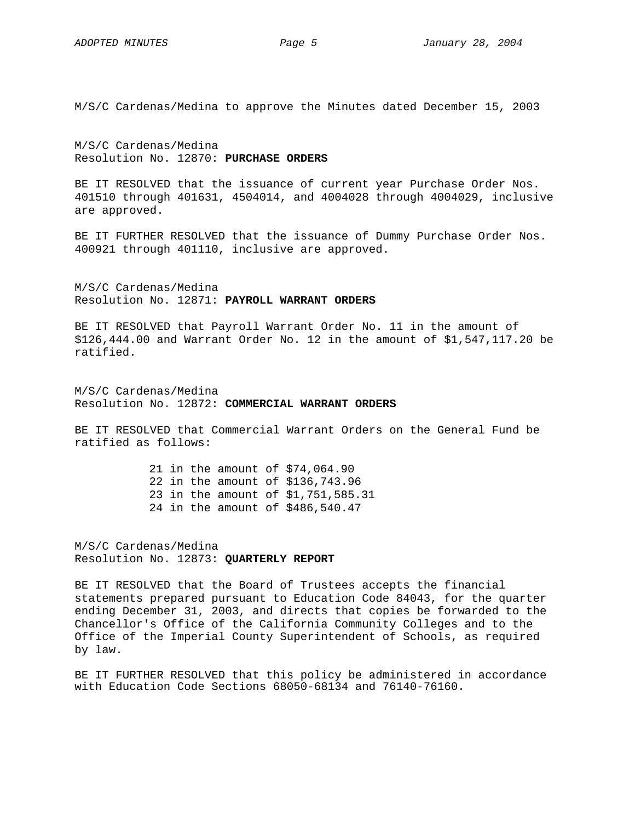M/S/C Cardenas/Medina to approve the Minutes dated December 15, 2003

M/S/C Cardenas/Medina Resolution No. 12870: **PURCHASE ORDERS**

BE IT RESOLVED that the issuance of current year Purchase Order Nos. 401510 through 401631, 4504014, and 4004028 through 4004029, inclusive are approved.

BE IT FURTHER RESOLVED that the issuance of Dummy Purchase Order Nos. 400921 through 401110, inclusive are approved.

M/S/C Cardenas/Medina Resolution No. 12871: **PAYROLL WARRANT ORDERS**

BE IT RESOLVED that Payroll Warrant Order No. 11 in the amount of \$126,444.00 and Warrant Order No. 12 in the amount of \$1,547,117.20 be ratified.

M/S/C Cardenas/Medina Resolution No. 12872: **COMMERCIAL WARRANT ORDERS**

BE IT RESOLVED that Commercial Warrant Orders on the General Fund be ratified as follows:

> 21 in the amount of \$74,064.90 22 in the amount of \$136,743.96 23 in the amount of \$1,751,585.31 24 in the amount of \$486,540.47

M/S/C Cardenas/Medina Resolution No. 12873: **QUARTERLY REPORT** 

BE IT RESOLVED that the Board of Trustees accepts the financial statements prepared pursuant to Education Code 84043, for the quarter ending December 31, 2003, and directs that copies be forwarded to the Chancellor's Office of the California Community Colleges and to the Office of the Imperial County Superintendent of Schools, as required by law.

BE IT FURTHER RESOLVED that this policy be administered in accordance with Education Code Sections 68050-68134 and 76140-76160.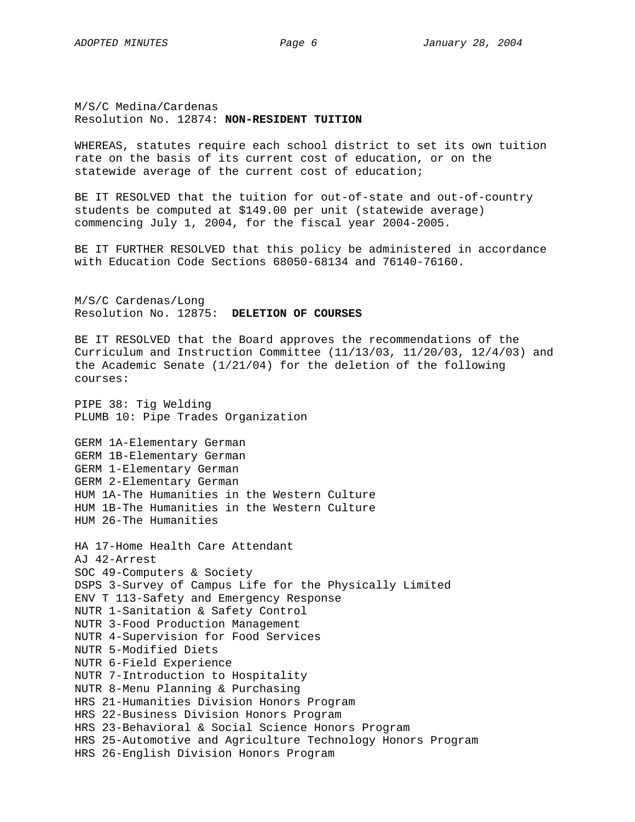M/S/C Medina/Cardenas Resolution No. 12874: **NON-RESIDENT TUITION** 

WHEREAS, statutes require each school district to set its own tuition rate on the basis of its current cost of education, or on the statewide average of the current cost of education;

BE IT RESOLVED that the tuition for out-of-state and out-of-country students be computed at \$149.00 per unit (statewide average) commencing July 1, 2004, for the fiscal year 2004-2005.

BE IT FURTHER RESOLVED that this policy be administered in accordance with Education Code Sections 68050-68134 and 76140-76160.

M/S/C Cardenas/Long Resolution No. 12875: **DELETION OF COURSES**

BE IT RESOLVED that the Board approves the recommendations of the Curriculum and Instruction Committee (11/13/03, 11/20/03, 12/4/03) and the Academic Senate (1/21/04) for the deletion of the following courses:

PIPE 38: Tig Welding PLUMB 10: Pipe Trades Organization

GERM 1A-Elementary German GERM 1B-Elementary German GERM 1-Elementary German GERM 2-Elementary German HUM 1A-The Humanities in the Western Culture HUM 1B-The Humanities in the Western Culture HUM 26-The Humanities

HA 17-Home Health Care Attendant AJ 42-Arrest SOC 49-Computers & Society DSPS 3-Survey of Campus Life for the Physically Limited ENV T 113-Safety and Emergency Response NUTR 1-Sanitation & Safety Control NUTR 3-Food Production Management NUTR 4-Supervision for Food Services NUTR 5-Modified Diets NUTR 6-Field Experience NUTR 7-Introduction to Hospitality NUTR 8-Menu Planning & Purchasing HRS 21-Humanities Division Honors Program HRS 22-Business Division Honors Program HRS 23-Behavioral & Social Science Honors Program HRS 25-Automotive and Agriculture Technology Honors Program HRS 26-English Division Honors Program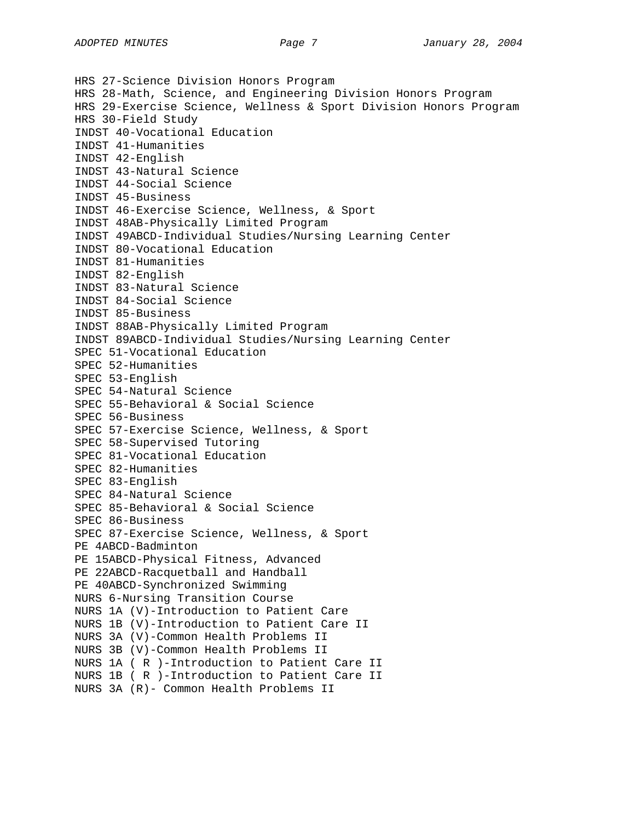HRS 27-Science Division Honors Program HRS 28-Math, Science, and Engineering Division Honors Program HRS 29-Exercise Science, Wellness & Sport Division Honors Program HRS 30-Field Study INDST 40-Vocational Education INDST 41-Humanities INDST 42-English INDST 43-Natural Science INDST 44-Social Science INDST 45-Business INDST 46-Exercise Science, Wellness, & Sport INDST 48AB-Physically Limited Program INDST 49ABCD-Individual Studies/Nursing Learning Center INDST 80-Vocational Education INDST 81-Humanities INDST 82-English INDST 83-Natural Science INDST 84-Social Science INDST 85-Business INDST 88AB-Physically Limited Program INDST 89ABCD-Individual Studies/Nursing Learning Center SPEC 51-Vocational Education SPEC 52-Humanities SPEC 53-English SPEC 54-Natural Science SPEC 55-Behavioral & Social Science SPEC 56-Business SPEC 57-Exercise Science, Wellness, & Sport SPEC 58-Supervised Tutoring SPEC 81-Vocational Education SPEC 82-Humanities SPEC 83-English SPEC 84-Natural Science SPEC 85-Behavioral & Social Science SPEC 86-Business SPEC 87-Exercise Science, Wellness, & Sport PE 4ABCD-Badminton PE 15ABCD-Physical Fitness, Advanced PE 22ABCD-Racquetball and Handball PE 40ABCD-Synchronized Swimming NURS 6-Nursing Transition Course NURS 1A (V)-Introduction to Patient Care NURS 1B (V)-Introduction to Patient Care II NURS 3A (V)-Common Health Problems II NURS 3B (V)-Common Health Problems II NURS 1A ( R )-Introduction to Patient Care II NURS 1B ( R )-Introduction to Patient Care II NURS 3A (R)- Common Health Problems II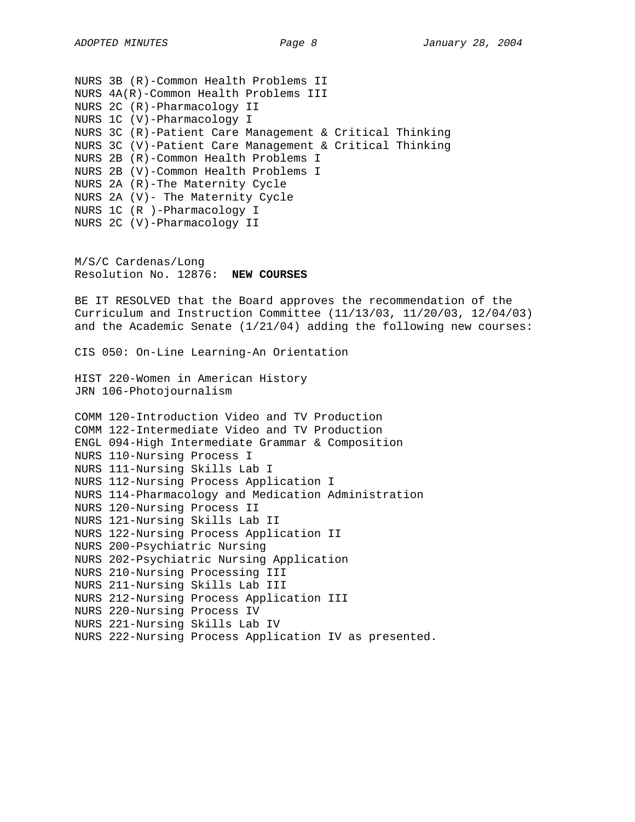NURS 3B (R)-Common Health Problems II NURS 4A(R)-Common Health Problems III NURS 2C (R)-Pharmacology II NURS 1C (V)-Pharmacology I NURS 3C (R)-Patient Care Management & Critical Thinking NURS 3C (V)-Patient Care Management & Critical Thinking NURS 2B (R)-Common Health Problems I NURS 2B (V)-Common Health Problems I NURS 2A (R)-The Maternity Cycle NURS 2A (V)- The Maternity Cycle NURS 1C (R )-Pharmacology I NURS 2C (V)-Pharmacology II M/S/C Cardenas/Long Resolution No. 12876: **NEW COURSES** BE IT RESOLVED that the Board approves the recommendation of the Curriculum and Instruction Committee (11/13/03, 11/20/03, 12/04/03) and the Academic Senate (1/21/04) adding the following new courses: CIS 050: On-Line Learning-An Orientation HIST 220-Women in American History JRN 106-Photojournalism COMM 120-Introduction Video and TV Production COMM 122-Intermediate Video and TV Production ENGL 094-High Intermediate Grammar & Composition NURS 110-Nursing Process I NURS 111-Nursing Skills Lab I NURS 112-Nursing Process Application I NURS 114-Pharmacology and Medication Administration NURS 120-Nursing Process II NURS 121-Nursing Skills Lab II

NURS 122-Nursing Process Application II

NURS 202-Psychiatric Nursing Application

NURS 212-Nursing Process Application III

NURS 222-Nursing Process Application IV as presented.

NURS 200-Psychiatric Nursing

NURS 220-Nursing Process IV NURS 221-Nursing Skills Lab IV

NURS 210-Nursing Processing III NURS 211-Nursing Skills Lab III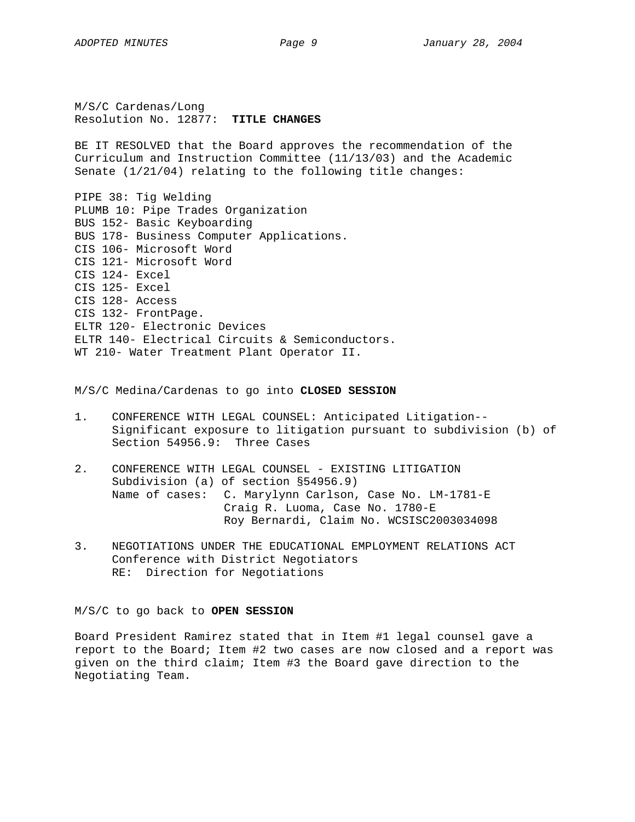M/S/C Cardenas/Long Resolution No. 12877: **TITLE CHANGES**

BE IT RESOLVED that the Board approves the recommendation of the Curriculum and Instruction Committee (11/13/03) and the Academic Senate (1/21/04) relating to the following title changes:

PIPE 38: Tig Welding PLUMB 10: Pipe Trades Organization BUS 152- Basic Keyboarding BUS 178- Business Computer Applications. CIS 106- Microsoft Word CIS 121- Microsoft Word CIS 124- Excel CIS 125- Excel CIS 128- Access CIS 132- FrontPage. ELTR 120- Electronic Devices ELTR 140- Electrical Circuits & Semiconductors. WT 210- Water Treatment Plant Operator II.

## M/S/C Medina/Cardenas to go into **CLOSED SESSION**

- 1. CONFERENCE WITH LEGAL COUNSEL: Anticipated Litigation-- Significant exposure to litigation pursuant to subdivision (b) of Section 54956.9: Three Cases
- 2. CONFERENCE WITH LEGAL COUNSEL EXISTING LITIGATION Subdivision (a) of section §54956.9) Name of cases: C. Marylynn Carlson, Case No. LM-1781-E Craig R. Luoma, Case No. 1780-E Roy Bernardi, Claim No. WCSISC2003034098
- 3. NEGOTIATIONS UNDER THE EDUCATIONAL EMPLOYMENT RELATIONS ACT Conference with District Negotiators RE: Direction for Negotiations

M/S/C to go back to **OPEN SESSION** 

Board President Ramirez stated that in Item #1 legal counsel gave a report to the Board; Item #2 two cases are now closed and a report was given on the third claim; Item #3 the Board gave direction to the Negotiating Team.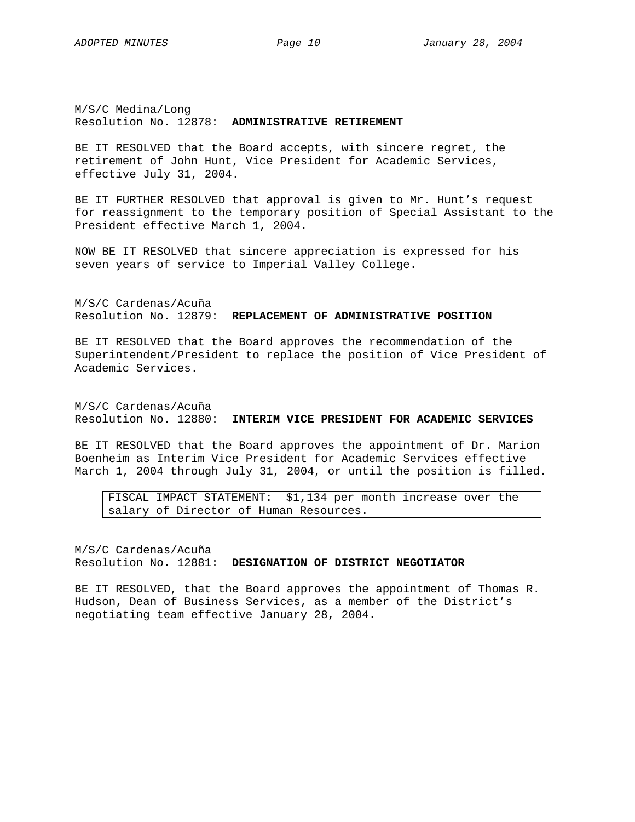M/S/C Medina/Long Resolution No. 12878: **ADMINISTRATIVE RETIREMENT** 

BE IT RESOLVED that the Board accepts, with sincere regret, the retirement of John Hunt, Vice President for Academic Services, effective July 31, 2004.

BE IT FURTHER RESOLVED that approval is given to Mr. Hunt's request for reassignment to the temporary position of Special Assistant to the President effective March 1, 2004.

NOW BE IT RESOLVED that sincere appreciation is expressed for his seven years of service to Imperial Valley College.

M/S/C Cardenas/Acuña Resolution No. 12879: **REPLACEMENT OF ADMINISTRATIVE POSITION**

BE IT RESOLVED that the Board approves the recommendation of the Superintendent/President to replace the position of Vice President of Academic Services.

M/S/C Cardenas/Acuña Resolution No. 12880: **INTERIM VICE PRESIDENT FOR ACADEMIC SERVICES**

BE IT RESOLVED that the Board approves the appointment of Dr. Marion Boenheim as Interim Vice President for Academic Services effective March 1, 2004 through July 31, 2004, or until the position is filled.

FISCAL IMPACT STATEMENT: \$1,134 per month increase over the salary of Director of Human Resources.

M/S/C Cardenas/Acuña Resolution No. 12881: **DESIGNATION OF DISTRICT NEGOTIATOR**

BE IT RESOLVED, that the Board approves the appointment of Thomas R. Hudson, Dean of Business Services, as a member of the District's negotiating team effective January 28, 2004.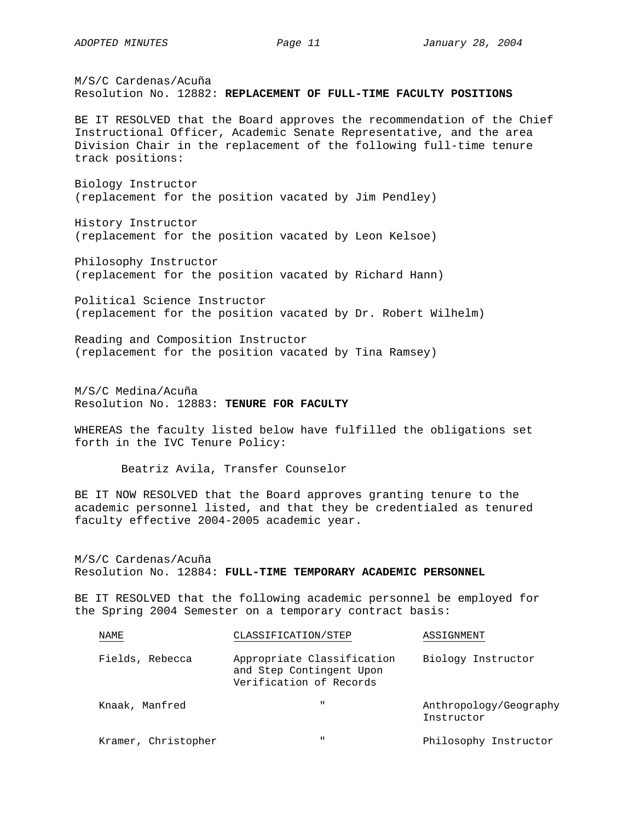M/S/C Cardenas/Acuña Resolution No. 12882: **REPLACEMENT OF FULL-TIME FACULTY POSITIONS**

BE IT RESOLVED that the Board approves the recommendation of the Chief Instructional Officer, Academic Senate Representative, and the area Division Chair in the replacement of the following full-time tenure track positions:

Biology Instructor (replacement for the position vacated by Jim Pendley)

History Instructor (replacement for the position vacated by Leon Kelsoe)

Philosophy Instructor (replacement for the position vacated by Richard Hann)

Political Science Instructor (replacement for the position vacated by Dr. Robert Wilhelm)

Reading and Composition Instructor (replacement for the position vacated by Tina Ramsey)

M/S/C Medina/Acuña Resolution No. 12883: **TENURE FOR FACULTY** 

WHEREAS the faculty listed below have fulfilled the obligations set forth in the IVC Tenure Policy:

Beatriz Avila, Transfer Counselor

BE IT NOW RESOLVED that the Board approves granting tenure to the academic personnel listed, and that they be credentialed as tenured faculty effective 2004-2005 academic year.

M/S/C Cardenas/Acuña Resolution No. 12884: **FULL-TIME TEMPORARY ACADEMIC PERSONNEL**

BE IT RESOLVED that the following academic personnel be employed for the Spring 2004 Semester on a temporary contract basis:

| NAME                | CLASSIFICATION/STEP                                                               | ASSIGNMENT                           |
|---------------------|-----------------------------------------------------------------------------------|--------------------------------------|
| Fields, Rebecca     | Appropriate Classification<br>and Step Contingent Upon<br>Verification of Records | Biology Instructor                   |
| Knaak, Manfred      | $\mathbf{H}$                                                                      | Anthropology/Geography<br>Instructor |
| Kramer, Christopher | $\mathbf{H}$                                                                      | Philosophy Instructor                |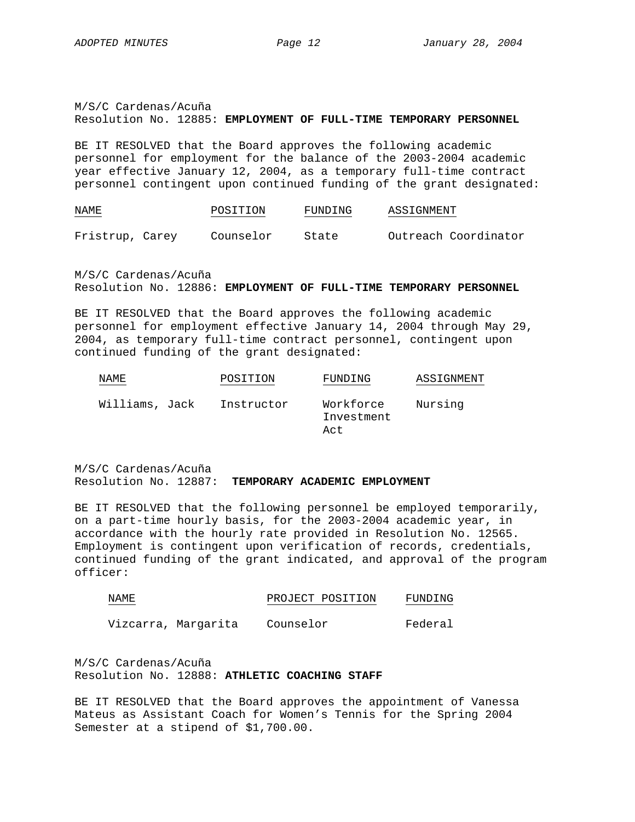M/S/C Cardenas/Acuña Resolution No. 12885: **EMPLOYMENT OF FULL-TIME TEMPORARY PERSONNEL**

BE IT RESOLVED that the Board approves the following academic personnel for employment for the balance of the 2003-2004 academic year effective January 12, 2004, as a temporary full-time contract personnel contingent upon continued funding of the grant designated:

| NAME<br>the control of the control of the | POSITION  | FUNDING | ASSIGNMENT           |
|-------------------------------------------|-----------|---------|----------------------|
| Fristrup, Carey                           | Counselor | State   | Outreach Coordinator |

M/S/C Cardenas/Acuña Resolution No. 12886: **EMPLOYMENT OF FULL-TIME TEMPORARY PERSONNEL**

BE IT RESOLVED that the Board approves the following academic personnel for employment effective January 14, 2004 through May 29, 2004, as temporary full-time contract personnel, contingent upon continued funding of the grant designated:

| NAME.          | POSITION   | FUNDING                        | ASSIGNMENT |
|----------------|------------|--------------------------------|------------|
| Williams, Jack | Instructor | Workforce<br>Investment<br>Act | Nursing    |

M/S/C Cardenas/Acuña Resolution No. 12887: **TEMPORARY ACADEMIC EMPLOYMENT**

BE IT RESOLVED that the following personnel be employed temporarily, on a part-time hourly basis, for the 2003-2004 academic year, in accordance with the hourly rate provided in Resolution No. 12565. Employment is contingent upon verification of records, credentials, continued funding of the grant indicated, and approval of the program officer:

| NAME | PROJECT POSITION | FUNDING |
|------|------------------|---------|
|      |                  |         |

Vizcarra, Margarita Counselor Federal

M/S/C Cardenas/Acuña Resolution No. 12888: **ATHLETIC COACHING STAFF**

BE IT RESOLVED that the Board approves the appointment of Vanessa Mateus as Assistant Coach for Women's Tennis for the Spring 2004 Semester at a stipend of \$1,700.00.